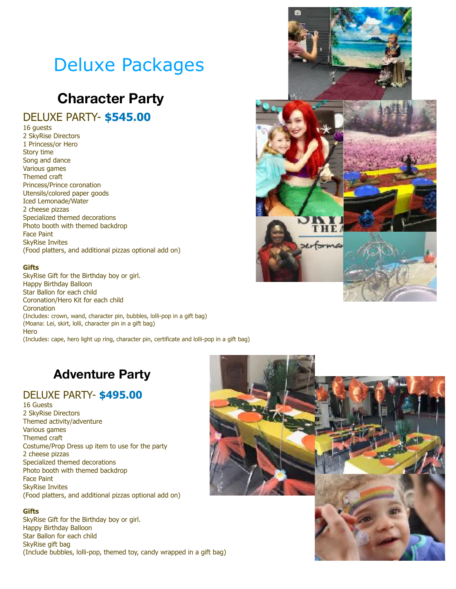# Deluxe Packages

## **Character Party**

## DELUXE PARTY- **\$545.00**

16 guests

2 SkyRise Directors 1 Princess/or Hero Story time Song and dance Various games Themed craft Princess/Prince coronation Utensils/colored paper goods Iced Lemonade/Water 2 cheese pizzas Specialized themed decorations Photo booth with themed backdrop Face Paint SkyRise Invites (Food platters, and additional pizzas optional add on)

#### **Gifts**

SkyRise Gift for the Birthday boy or girl. Happy Birthday Balloon Star Ballon for each child Coronation/Hero Kit for each child **Coronation** (Includes: crown, wand, character pin, bubbles, lolli-pop in a gift bag) (Moana: Lei, skirt, lolli, character pin in a gift bag) **Hero** (Includes: cape, hero light up ring, character pin, certificate and lolli-pop in a gift bag)



## **Adventure Party**

### DELUXE PARTY- **\$495.00**

16 Guests 2 SkyRise Directors Themed activity/adventure Various games Themed craft Costume/Prop Dress up item to use for the party 2 cheese pizzas Specialized themed decorations Photo booth with themed backdrop Face Paint SkyRise Invites (Food platters, and additional pizzas optional add on)

#### **Gifts**

SkyRise Gift for the Birthday boy or girl. Happy Birthday Balloon Star Ballon for each child SkyRise gift bag (Include bubbles, lolli-pop, themed toy, candy wrapped in a gift bag)